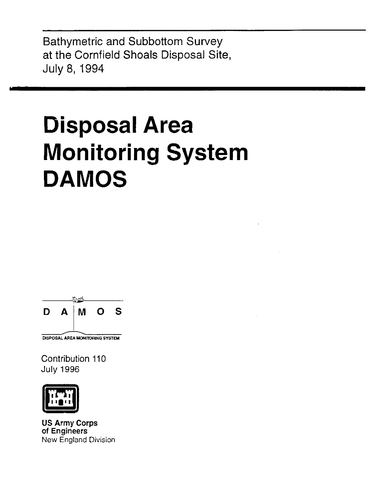**Bathymetric and Subbottom Survey** at the Cornfield Shoals Disposal Site, July 8, 1994

# **Disposal Area Monitoring System DAMOS**



Contribution 110 **July 1996** 



**US Army Corps** of Engineers **New England Division**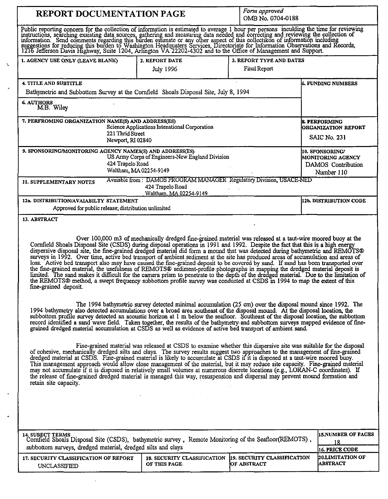| <b>REPORT DOCUMENTATION PAGE</b>                                                                                                                                                                                                                                                                                                                                                                                                                                                                                                                                                                                                                                                                                                                                                                                                                                                                 | Form approved<br>OMB No. 0704-0188                                              |                                                 |                                                   |  |  |  |  |
|--------------------------------------------------------------------------------------------------------------------------------------------------------------------------------------------------------------------------------------------------------------------------------------------------------------------------------------------------------------------------------------------------------------------------------------------------------------------------------------------------------------------------------------------------------------------------------------------------------------------------------------------------------------------------------------------------------------------------------------------------------------------------------------------------------------------------------------------------------------------------------------------------|---------------------------------------------------------------------------------|-------------------------------------------------|---------------------------------------------------|--|--|--|--|
| Public reporting concern for the collection of information is estimated to average 1 hour per persons inculding the time for reviewing instructions, searching exsisting data sources, gathering and measuring data needed and                                                                                                                                                                                                                                                                                                                                                                                                                                                                                                                                                                                                                                                                   |                                                                                 |                                                 |                                                   |  |  |  |  |
| 1. AGENCY USE ONLY (LEAVE BLANK)                                                                                                                                                                                                                                                                                                                                                                                                                                                                                                                                                                                                                                                                                                                                                                                                                                                                 | 2. REPORT DATE<br>July 1996                                                     | 3. REPORT TYPE AND DATES<br><b>Final Report</b> |                                                   |  |  |  |  |
| 4. TITLE AND SUBTITLE<br>Bathymetric and Subbottom Survey at the Cornfield Shoals Disposal Site, July 8, 1994<br><b>6. AUTHORS</b><br>M.B. Wiley                                                                                                                                                                                                                                                                                                                                                                                                                                                                                                                                                                                                                                                                                                                                                 |                                                                                 |                                                 | <b>6. FUNDING NUMBERS</b>                         |  |  |  |  |
| 7. PERFROMING ORGANIZATION NAME(S) AND ADDRESS(ES)<br>Science Applications Intenational Corporation<br>221 Thrid Street                                                                                                                                                                                                                                                                                                                                                                                                                                                                                                                                                                                                                                                                                                                                                                          | <b>8. PERFORMING</b><br>ORGANIZATION REPORT<br>SAIC No. 231                     |                                                 |                                                   |  |  |  |  |
| Newport, RI 02840<br>9. SPONSORING/MONITORING AGENCY NAMES(S) AND ADDRESS(ES)<br>US Army Corps of Engineers-New England Division<br>424 Trapelo Road<br>Waltham, MA 02254-9149<br>Avaiable from: DAMOS PROGRAM MANAGER Regulatory Division, USACE-NED<br>11. SUPPLEMENTARY NOTES                                                                                                                                                                                                                                                                                                                                                                                                                                                                                                                                                                                                                 | 10. SPONSORING/<br><b>MONITORING AGENCY</b><br>DAMOS Contribution<br>Number 110 |                                                 |                                                   |  |  |  |  |
| 12a. DISTRIBUTION/AVAIABILTY STATEMENT<br>Approved for public release, distribution unlimited                                                                                                                                                                                                                                                                                                                                                                                                                                                                                                                                                                                                                                                                                                                                                                                                    | 424 Trapelo Road<br>Waltham, MA 02254-9149                                      |                                                 | 12b. DISTRIBUTION CODE                            |  |  |  |  |
| 13. ABSTRACT                                                                                                                                                                                                                                                                                                                                                                                                                                                                                                                                                                                                                                                                                                                                                                                                                                                                                     |                                                                                 |                                                 |                                                   |  |  |  |  |
| Cornfield Shoals Disposal Site (CSDS) during disposal operations in 1991 and 1992. Despite the fact that this is a high energy dispersive disposal site, the fine-grained dredged material did form a mound that was detected<br>surveys in 1992. Over time, active bed transport of ambient sediment at the site has produced areas of accumulation and areas of<br>loss. Active bed transport also may have caused the fine-grained deposit to be covered by sand. If sand has been transported over<br>the fine-grained material, the usefulness of REMOTS® sediment-profile photographs in mapping the dredged material deposit is<br>limited. The sand makes it difficult for the camera prism to penetrate to the depth of the dredged material. Due to the limitation of the REMOTS® method, a swept frequency subbottom profile survey was conducted at CSDS in<br>fine-grained deposit. |                                                                                 |                                                 |                                                   |  |  |  |  |
| The 1994 bathymetric survey detected minimal accumulation (25 cm) over the disposal mound since 1992. The<br>1994 bathymetry also detected accumulations over a broad area southeast of the disposal mound. At the disposal location, the<br>subbottom profile survey detected an acoustic horizon at 1 m below the seafloor. Southeast of the disposal location, the subbottom<br>record identified a sand wave field. Taken together, the results of the bathymetry and subbottom surveys mapped evidence of fine-<br>grained dredged material accumulation at CSDS as well as evidence of active bed transport of ambient sand.                                                                                                                                                                                                                                                               |                                                                                 |                                                 |                                                   |  |  |  |  |
| Fine-grained material was released at CSDS to examine whether this dispersive site was suitable for the disposal<br>of cohesive, mechanically dredged silts and clays. The survey results suggest two approaches to the management of fine-grained<br>dredged material at CSDS. Fine-grained material is likely to accumulate at CSDS if it is disposed at a taut-wire moored buoy.<br>This management approach would allow close management of the material, but it may reduce site capacity. Fine-grained material<br>may not accumulate if it is disposed in relatively small volumes at numerous discrete locations (e.g., LORAN-C coordinates). If<br>the release of fine-grained dredged material is managed this way, resuspension and dispersal may prevent mound formation and<br>retain site capacity.                                                                                 |                                                                                 |                                                 |                                                   |  |  |  |  |
|                                                                                                                                                                                                                                                                                                                                                                                                                                                                                                                                                                                                                                                                                                                                                                                                                                                                                                  |                                                                                 |                                                 |                                                   |  |  |  |  |
| <b>14. SUBECT TERMS</b><br>Cornfield Shoals Disposal Site (CSDS), bathymetric survey, Remote Monitoring of the Seafloor(REMOTS),<br>subbottom surveys, dredged material, dredged silts and clays                                                                                                                                                                                                                                                                                                                                                                                                                                                                                                                                                                                                                                                                                                 |                                                                                 |                                                 | <b>15.NUMBER OF PAGES</b><br>18<br>16. PRICE CODE |  |  |  |  |
| 17. SECURITY CLASSIFICATION OF REPORT<br>UNCLASSIFIED                                                                                                                                                                                                                                                                                                                                                                                                                                                                                                                                                                                                                                                                                                                                                                                                                                            | 18. SECURITY CLASSIFICATION 19. SECURITY CLASSIFICATION<br>OF THIS PAGE         | <b>OF ABSTRACT</b>                              | 20.LIMITATION OF<br><b>LABSTRACT</b>              |  |  |  |  |

 $\ddot{\phantom{0}}$ 

 $\sim$   $\epsilon$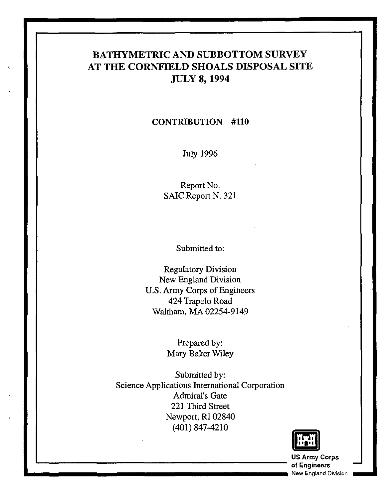## **BATHYMETRIC AND SUBBOTTOM SURVEY AT THE CORNFIELD SHOALS DISPOSAL SITE JULY 8,1994**

#### **CONTRIBUTION #110**

July 1996

Report No. SAIC Report N. 321

Submitted to:

Regulatory Division New England Division U.S. Army Corps of Engineers 424 Trapelo Road Waltham, MA 02254-9149

> Prepared by: Mary Baker Wiley

Submitted by: Science Applications International Corporation Admiral's Gate 221 Third Street Newport, **RI** 02840 (401) 847-4210



**US Army** Corps **1....-\_\_\_\_\_\_\_\_\_\_\_\_\_\_\_\_\_\_\_\_\_\_ of** Engineers - **.. \_\_\_\_\_\_\_\_\_\_\_\_\_\_\_\_\_\_\_\_\_\_\_** New England Division **\_ ...**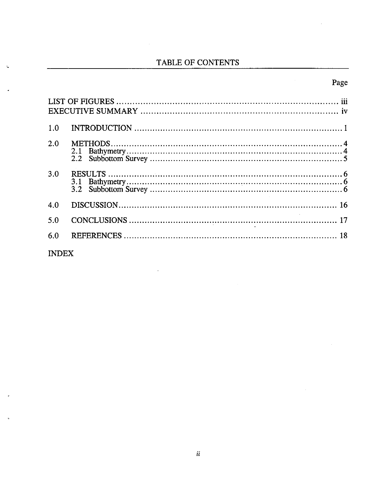## TABLE OF CONTENTS

## Page

| 1.0 |  |
|-----|--|
| 2.0 |  |
| 3.0 |  |
| 4.0 |  |
| 5.0 |  |
| 6.0 |  |

J.

**INDEX** 

 $\overline{a}$ 

 $\ddot{\phantom{a}}$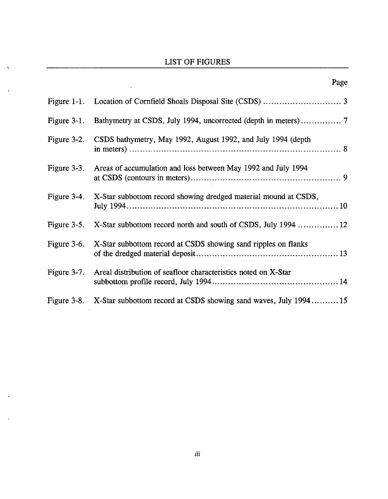## LIST OF FIGURES

 $\zeta$ 

 $\ddot{\phantom{a}}$ 

 $\overline{ }$ 

t,

 $\bar{\mathcal{A}}$ 

Page

|                | x agu                                                                       |
|----------------|-----------------------------------------------------------------------------|
|                |                                                                             |
| Figure $3-1$ . |                                                                             |
|                | Figure 3-2. CSDS bathymetry, May 1992, August 1992, and July 1994 (depth    |
| Figure 3-3.    | Areas of accumulation and loss between May 1992 and July 1994               |
|                | Figure 3-4. X-Star subbottom record showing dredged material mound at CSDS, |
| Figure 3-5.    | X-Star subbottom record north and south of CSDS, July 1994  12              |
| Figure 3-6.    | X-Star subbottom record at CSDS showing sand ripples on flanks              |
| Figure 3-7.    | Areal distribution of seafloor characteristics noted on X-Star              |
|                | Figure 3-8. X-Star subbottom record at CSDS showing sand waves, July 199415 |

 $\sim 10$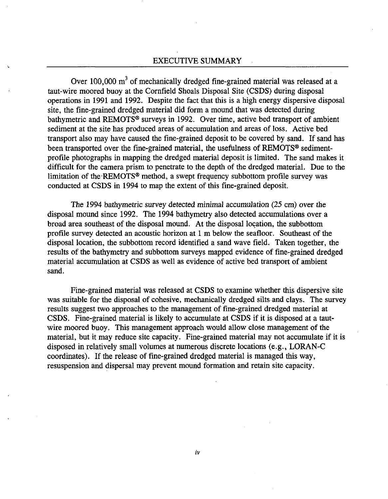#### EXECUTIVE SUMMARY

Over 100,000  $m<sup>3</sup>$  of mechanically dredged fine-grained material was released at a taut-wire moored buoy at the Cornfield Shoals Disposal Site (CSDS) during disposal operations in 1991 and 1992. Despite the fact that this is a high energy dispersive disposal site, the fine-grained dredged material did form a mound that was detected during bathymetric and REMOTS® surveys in 1992. Over time, active bed transport of ambient sediment at the site has produced areas of accumulation and areas of loss. Active bed transport also may have caused the fine-grained deposit to be covered by sand. If sand has been transported over the fine-grained material, the usefulness of REMOTS<sup>®</sup> sedimentprofile photographs in mapping the dredged material deposit is limited. The sand makes it difficult for the camera prism to penetrate to the depth of the dredged material. Due to the limitation of the'REMOTS® method, a swept frequency subbottom profile survey was conducted at CSDS in 1994 to map the extent of this fine-grained deposit.

The 1994 bathymetric survey detected minimal accumulation (25 cm) over the disposal mound since 1992. The 1994 bathymetry also detected accumulations over a broad area southeast of the disposal mound. At the disposal location, the subbottom profile survey detected an acoustic horizon at 1 m below the seafloor. Southeast of the disposal location, the subbottom record identified a sand wave field. Taken together, the results of the bathymetry and subbottom surveys mapped evidence of fine-grained dredged material accumulation at CSDS as well as evidence of active bed transport of ambient sand.

Fine-grained material was released at CSDS to examine whether this dispersive site was suitable for the disposal of cohesive, mechanically dredged silts and clays. The survey results suggest two approaches to the management of fine-grained dredged material at CSDS. Fine-grained material is likely to accumulate at CSDS if it is disposed at a tautwire moored buoy. This management approach would allow close management of the material, but it may reduce site capacity. Fine-grained material may not accumulate if it is disposed in relatively small volumes at numerous discrete locations (e.g., LORAN-C coordinates). If the release of fine-grained dredged material is managed this way, resuspension and dispersal may prevent mound formation and retain site capacity.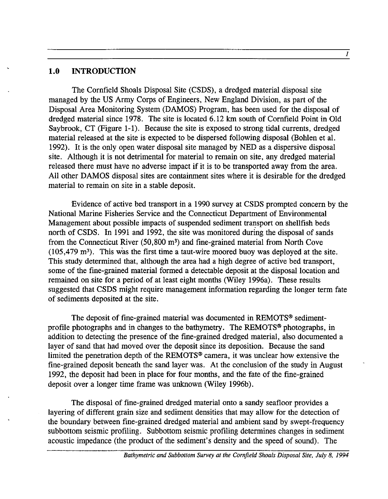#### **1.0** INTRODUCTION

The Cornfield Shoals Disposal Site (CSDS), a dredged material disposal site managed by the US Army Corps of Engineers, New England Division, as part of the Disposal Area Monitoring System (DAMOS) Program, has been used for the disposal of dredged material since 1978. The site is located 6.12 km south of Cornfield Point in Old Saybrook, CT (Figure 1-1). Because the site is exposed to strong tidal currents, dredged material released at the site is expected to be dispersed following disposal (Bohlen et al. 1992). It is the only open water disposal site managed by NED as a dispersive disposal site. Although it is not detrimental for material to remain on site, any dredged material released there must have no adverse impact if it is to be transported away from the area. All other DAMOS disposal sites are containment sites where it is desirable for the dredged material to remain on site in a stable deposit.

Evidence of active bed transport in a 1990 survey at CSDS prompted concern by the National Marine Fisheries Service and the Connecticut Department of Environmental Management about possible impacts of suspended sediment transport on shellfish beds north of CSDS. In 1991 and 1992, the site was monitored during the disposal of sands from the Connecticut River (50,800 m3) and fine-grained material from North Cove (105,479 m3). This was the first time a taut-wire moored buoy was deployed at the site. This study determined that, although the area had a high degree of active bed transport, some of the fine-grained material formed a detectable deposit at the disposal location and remained on site for a period of at least eight months (Wiley 1996a). These results suggested that CSDS might require management information regarding the longer term fate of sediments deposited at the site.

The deposit of fine-grained material was documented in REMOTS® sedimentprofile photographs and in changes to the bathymetry. The REMOTS® photographs, in addition to detecting the presence of the fine-grained dredged material, also documented a layer of sand that had moved over the deposit since its deposition. Because the sand limited the penetration depth of the REMOTS® camera, it was unclear how extensive the fine-grained deposit beneath the sand layer was. At the conclusion of the study in August 1992, the deposit had been in place for four months, and the fate of the fine-grained deposit over a longer time frame was unknown (Wiley 1996b).

The disposal of fine-grained dredged material onto a sandy seafloor provides a layering of different grain size and sediment densities that may allow for the detection of the boundary between fine-grained dredged material and ambient sand by swept-frequency subbottom seismic profiling. Subbottom seismic profiling determines changes in sediment acoustic impedance (the product of the sediment's density and the speed of sound). The

1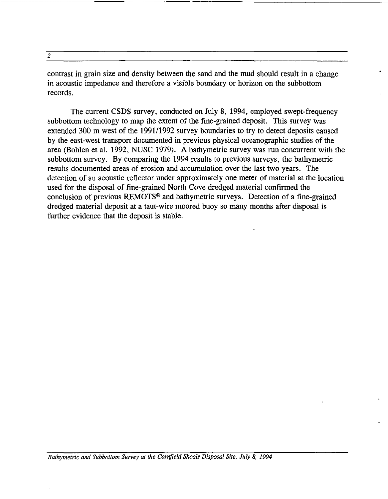|  | I<br>v<br>٠ |  |
|--|-------------|--|
|  |             |  |

contrast in grain size and density between the sand and the mud should result in a change in acoustic impedance and therefore a visible boundary or horizon on the subbottom records.

The current CSDS survey, conducted on July 8, 1994, employed swept-frequency subbottom technology to map the extent of the fine-grained deposit. This survey was extended 300 m west of the 1991/1992 survey boundaries to try to detect deposits caused by the east-west transport documented in previous physical oceanographic studies of the area (Bohlen et al. 1992, NUSC 1979). A bathymetric survey was run concurrent with the subbottom survey. By comparing the 1994 results to previous surveys, the bathymetric results documented areas of erosion and accumulation over the last two years. The detection of an acoustic reflector under approximately one meter of material at the location used for the disposal of fine-grained North Cove dredged material confirmed the conclusion of previous REMOTS<sup>®</sup> and bathymetric surveys. Detection of a fine-grained dredged material deposit at a taut-wire moored buoy so many months after disposal is further evidence that the deposit is stable.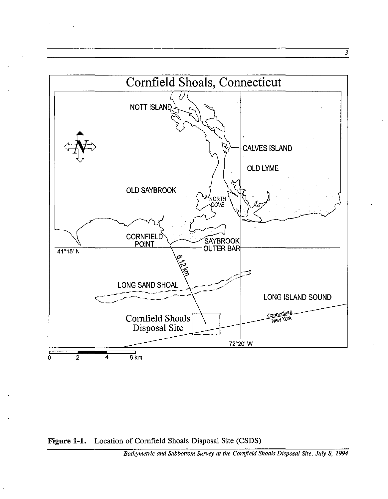

 $\mathcal{L}^{\pm}$ 

3

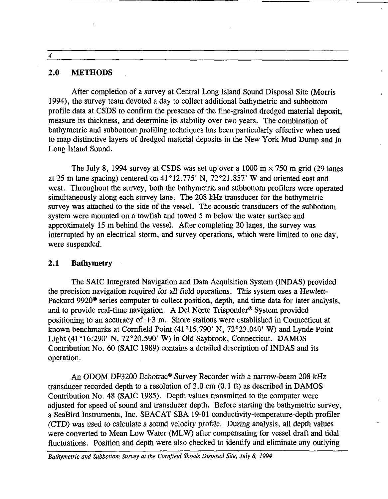4

#### **2.0 METHODS**

After completion of a survey at Central Long Island Sound Disposal Site (Morris 1994), the survey team devoted a day to collect additional bathymetric and subbottom profile data at CSDS to confirm the presence of the fine-grained dredged material deposit, measure its thickness, and determine its stability over two years. The combination of bathymetric and subbottom profiling techniques has been particularly effective when used to map distinctive layers of dredged material deposits in the New York Mud Dump and in Long Island Sound.

,

The July 8, 1994 survey at CSDS was set up over a 1000 m  $\times$  750 m grid (29 lanes at 25 m lane spacing) centered on 41 °12.775' N, 72°21.857' Wand oriented east and west. Throughout the survey, both the bathymetric and subbottom profilers were operated simultaneously along each survey lane. The 208 kHz transducer for the bathymetric survey was attached to the side of the vessel. The acoustic transducers of the subbottom system were mounted on a towfish and towed 5 m below the water surface and approximately 15 m behind the vessel. After completing 20 lanes, the survey was interrupted by an electrical storm, and survey operations, which were limited to one day, were suspended.

#### **2.1 Bathymetry**

The SAIC Integrated Navigation and Data Acquisition System (INDAS) provided the precision navigation required for all field operations. This system uses a Hewlett-Packard 9920<sup>®</sup> series computer to collect position, depth, and time data for later analysis, and to provide real-time navigation. A Del Norte Trisponder® System provided positioning to an accuracy of  $\pm 3$  m. Shore stations were established in Connecticut at known benchmarks at Cornfield Point (41°15.790' N, 72°23.040' W) and Lynde Point Light  $(41^{\circ}16.290'$  N,  $72^{\circ}20.590'$  W) in Old Saybrook, Connecticut. DAMOS Contribution No. 60 (SAIC 1989) contains a detailed description of INDAS and its operation.

An ODOM DF3200 Echotrac® Survey Recorder with a narrow-beam 208 kHz transducer recorded depth to a resolution of  $3.0 \text{ cm}$  (0.1 ft) as described in DAMOS Contribution No. 48 (SAIC 1985). Depth values transmitted to the computer were adjusted for speed of sound and transducer depth. Before starting the bathymetric survey, a SeaBird Instruments, Inc. SEACAT SBA 19-01 conductivity-temperature-depth profiler (CTD) was used to calculate a sound velocity profile. During analysis, all depth values were converted to Mean Low Water (MLW) after compensating for vessel draft and tidal fluctuations. Position and depth were also checked to identify and eliminate any outlying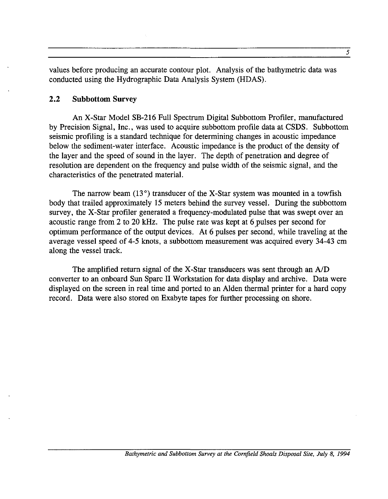values before producing an accurate contour plot. Analysis of the bathymetric data was conducted using the Hydrographic Data Analysis System (HDAS).

#### 2.2 Subbottom Survey

An X-Star Model SB-216 Full Spectrum Digital Subbottom Profiler, manufactured by Precision Signal, Inc., was used to acquire subbottom profile data at CSDS. Subbottom seismic profiling is a standard technique for determining changes in acoustic impedance below the sediment-water interface. Acoustic impedance is the product of the density of the layer and the speed of sound in the layer. The depth of penetration and degree of resolution are dependent on the frequency and pulse width of the seismic signal, and the characteristics of the penetrated material.

The narrow beam  $(13^{\circ})$  transducer of the X-Star system was mounted in a towfish body that trailed approximately 15 meters behind the survey vessel. During the subbottom survey, the X-Star profiler generated a frequency-modulated pulse that was swept over an acoustic range from 2 to 20 kHz. The pulse rate was kept at 6 pulses per second for optimum performance of the output devices. At 6 pulses per second, while traveling at the average vessel speed of 4-5 knots, a subbottom measurement was acquired every 34-43 cm along the vessel track.

The amplified return signal of the X-Star transducers was sent through an  $A/D$ converter to an onboard Sun Sparc II Workstation for data display and archive. Data were displayed on the screen in real time and ported to an Alden thermal printer for a hard copy record. Data were also stored on Exabyte tapes for further processing on shore.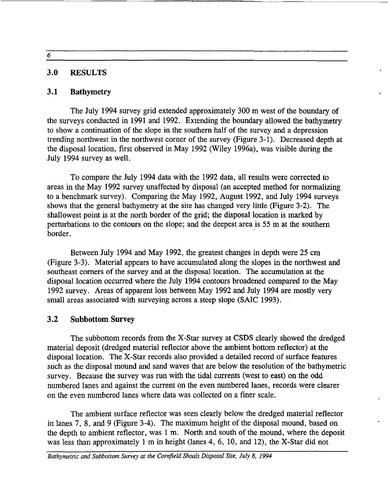6

#### 3.0 RESULTS

#### 3.1 Bathymetry

The July 1994 survey grid extended approximately 300 m west of the boundary of the surveys conducted in 1991 and 1992. Extending the boundary allowed the bathymetry to show a continuation of the slope in the southern half of the survey and a depression trending northwest in the northwest corner of the survey (Figure 3-1). Decreased depth at the disposal location, first observed in May 1992 (Wiley 1996a), was visible during the July 1994 survey as well.

To compare the July 1994 data with the 1992 data, all results were corrected to areas in the May 1992 survey unaffected by disposal (an accepted method for normalizing to a benchmark survey). Comparing the May 1992, August 1992, and July 1994 surveys shows that the general bathymetry at the site has changed very little (Figure 3-2). The shallowest point is at the north border of the grid; the disposal location is marked by perturbations to the contours on the slope; and the deepest area is 55 m at the southern border.

Between July 1994 and May 1992, the greatest changes in depth were 25 cm (Figure 3-3). Material appears to have accumulated along the slopes in the northwest and southeast corners of the survey and at the disposal location. The accumulation at the disposal location occurred where the July 1994 contours broadened compared to the May 1992 survey. Areas of apparent loss between May 1992 and July 1994 are mostly very small areas associated with surveying across a steep slope (SAIC 1993).

#### 3.2 Subbottom Survey

The subbottom records from the X-Star survey at CSDS clearly showed the dredged material deposit (dredged material reflector above the ambient bottom reflector) at the disposal location. The X-Star records also provided a detailed record of surface features such as the disposal mound and sand waves that are below the resolution of the bathymetric survey. Because the survey was run with the tidal currents (west to east) on the odd numbered lanes and against the current on the even numbered lanes, records were clearer on the even numbered lanes where data was collected on a finer scale.

The ambient surface reflector was seen clearly below the dredged material reflector in lanes 7, 8, and 9 (Figure 3-4). The maximum height of the disposal mound, based on the depth to ambient reflector, was 1 m. North and south of the mound, where the deposit was less than approximately 1 m in height (lanes 4, 6, 10, and 12), the X-Star did not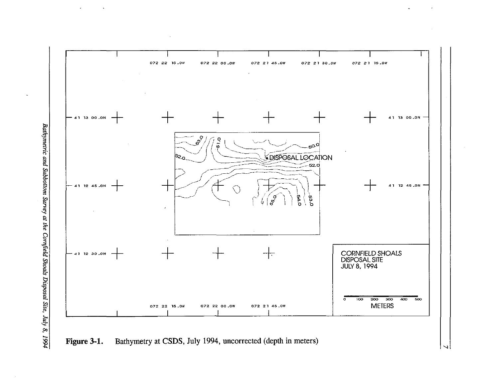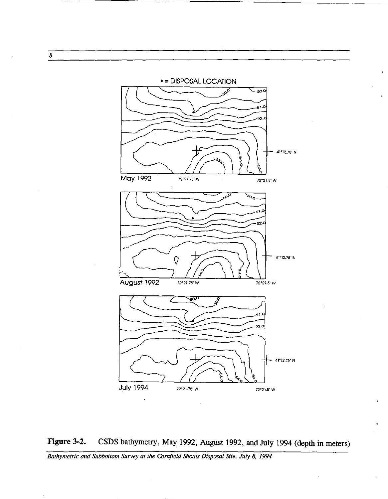



*Bathymetric and Subbottom Survey at the Cornfield Shoals Disposal Site, July 8, 1994* 

8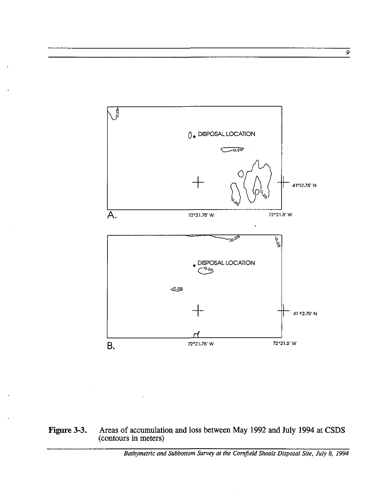

#### Figure 3-3. Areas of accumulation and loss between May 1992 and July 1994 at CSDS (contours in meters)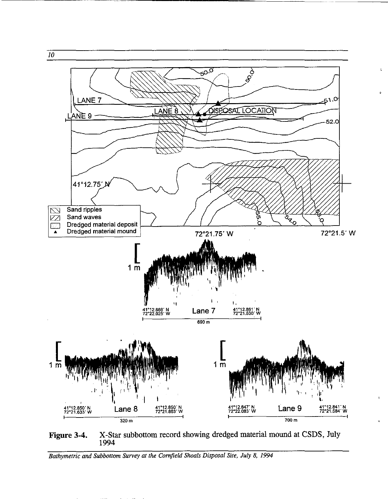

ċ.

**Figure** 3-4, X-Star subbottom record showing dredged material mound at CSDS, July 1994

*10* 

----------- .~- ------

*Bathymetric and Subbo/lom Survey at the Cornfield Shoals Disposal Site, July* 8, 1994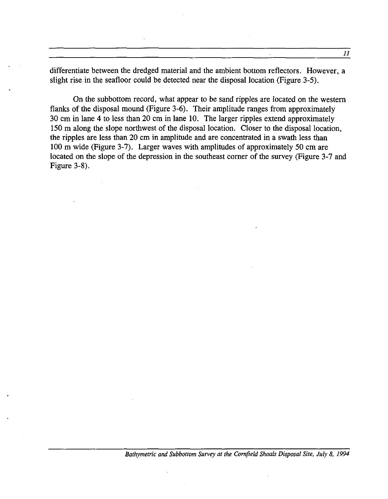differentiate between the dredged material and the ambient bottom reflectors. However, a slight rise in the seafloor could be detected near the disposal location (Figure 3-5).

On the subbottom record, what appear to be sand ripples are located on the western flanks of the disposal mound (Figure 3-6). Their amplitude ranges from approximately 30 cm in lane 4 to less than 20 cm in lane 10. The larger ripples extend approximately 150 m along the slope northwest of the disposal location. Closer to the disposal location, the ripples are less than 20 cm in amplitude and are concentrated in a swath less than 100 m wide (Figure 3-7). Larger waves with amplitudes of approximately 50 cm are located on the slope of the depression in the southeast corner of the survey (Figure 3-7 and Figure 3-8).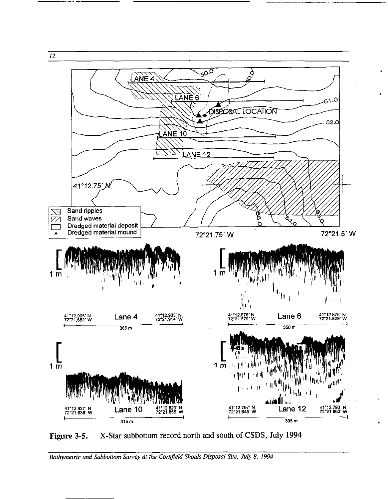

Figure 3-5. X-Star subbottom record north and south of CSDS, July 1994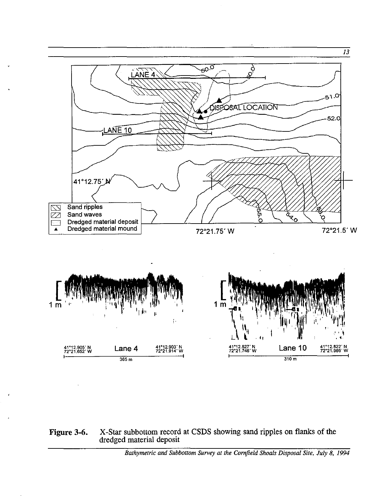

#### Figure 3-6. X-Star subbottom record at CSDS showing sand ripples on flanks of the dredged material deposit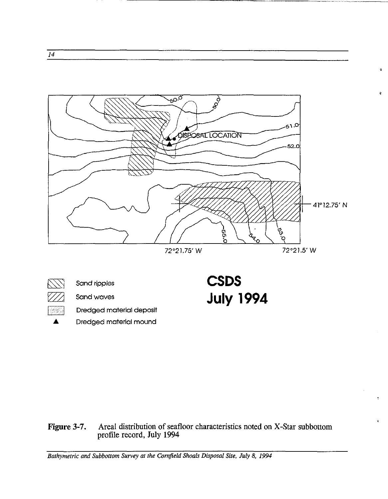



 $\sqrt{\sqrt{}}$  Sand ripples  $\mathbb{Z}/\mathbb{Z}$  Sand waves **1988** Dredged material deposit **CSDS July 1994**  à.

### Figure 3-7. Areal distribution of seafloor characteristics noted on X-Star subbottom profile record, July 1994

*Bathymetric and Subbottom Survey at the Cornfield Shoals Disposal Site, July* 8, 1994

14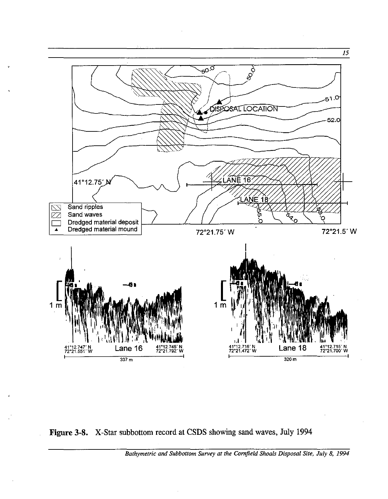

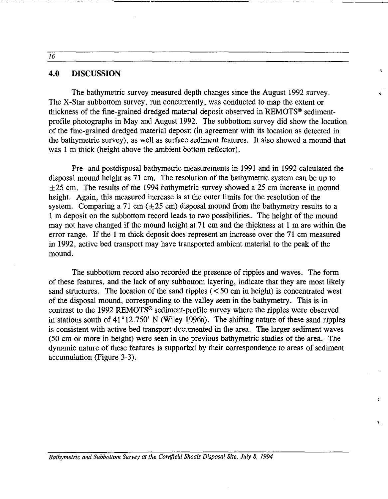#### **4.0 DISCUSSION**

The bathymetric survey measured depth changes since the August 1992 survey. The X-Star subbottom survey, run concurrently, was conducted to map the extent or thickness of the fine-grained dredged material deposit observed in REMOTS<sup>®</sup> sedimentprofile photographs in May and August 1992. The subbottom survey did show the location of the fine-grained dredged material deposit (in agreement with its location as detected in the bathymetric survey), as well as surface sediment features. It also showed a mound that was 1 m thick (height above the ambient bottom reflector).

 $\overline{\mathbf{Q}}$ 

Pre- and postdisposal bathymetric measurements in 1991 and in 1992 calculated the disposal mound height as 71 cm. The resolution of the bathymetric system can be up to  $\pm$ 25 cm. The results of the 1994 bathymetric survey showed a 25 cm increase in mound height. Again, this measured increase is at the outer limits for the resolution of the system. Comparing a 71 cm  $(\pm 25 \text{ cm})$  disposal mound from the bathymetry results to a 1 m deposit on the subbottom record leads to two possibilities. The height of the mound may not have changed if the mound height at  $71 \text{ cm}$  and the thickness at 1 m are within the error range. If the 1 m thick deposit does represent an increase over the 71 cm measured in 1992, active bed transport may have transported ambient material to the peak of the mound.

The subbottom record also recorded the presence of ripples and waves. The form of these features, and the lack of any subbottom layering, indicate that they are most likely sand structures. The location of the sand ripples  $(< 50$  cm in height) is concentrated west of the disposal mound, corresponding to the valley seen in the bathymetry. This is in contrast to the 1992 REMOTS@ sediment-profile survey where the ripples were observed in stations south of  $41^{\circ}12.750'$  N (Wiley 1996a). The shifting nature of these sand ripples is consistent with active bed transport documented in the area. The larger sediment waves (50 cm or more in height) were seen in the previous bathymetric studies of the area. The dynamic nature of these features is supported by their correspondence to areas of sediment accumulation (Figure 3-3).

16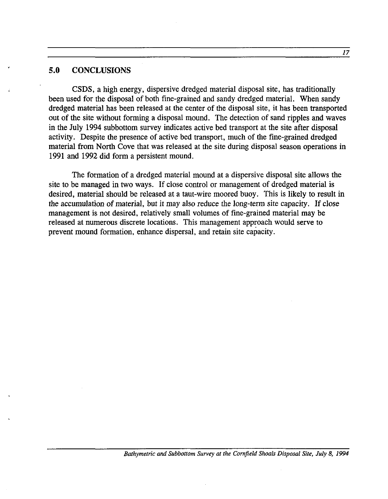#### **5.0 CONCLUSIONS**

CSDS, a high energy, dispersive dredged material disposal site, has traditionally been used for the disposal of both fine-grained and sandy dredged material. When sandy dredged material has been released at the center of the disposal site, it has been transported out of the site without forming a disposal mound. The detection of sand ripples and waves in the July 1994 subbottom survey indicates active bed transport at the site after disposal activity. Despite the presence of active bed transport, much of the fine-grained dredged material from North Cove that was released at the site during disposal season operations in 1991 and 1992 did form a persistent mound.

The formation of a dredged material mound at a dispersive disposal site allows the site to be managed in two ways. If close control or management of dredged material is desired, material should be released at a taut-wire moored buoy. This is likely to result in the accumulation of material, but it may also reduce the long-term site capacity. If close management is not desired, relatively small volumes of fine-grained material may be released at numerous discrete locations. This management approach would serve to prevent mound formation, enhance dispersal, and retain site capacity.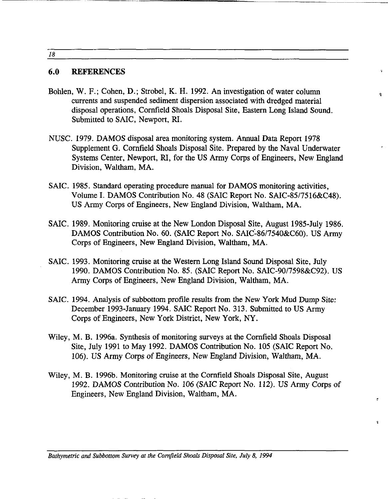18

#### **6.0 REFERENCES**

Bohlen, W. F.; Cohen, D.; Strobel, K. H. 1992. An investigation of water column currents and suspended sediment dispersion associated with dredged material disposal operations, Cornfield Shoals Disposal Site, Eastern Long Island Sound. Submitted to SAIC, Newport, RI.

Ą.

 $\ddot{\phantom{a}}$ 

- NUSC. 1979. DAMOS disposal area monitoring system. Annual Data Report 1978 Supplement G. Cornfield Shoals Disposal Site. Prepared by the Naval Underwater Systems Center, Newport, RI, for the US Army Corps of Engineers, New England Division, Waltham, MA.
- SAIC. 1985. Standard operating procedure manual for DAMOS monitoring activities, Volume I. DAMOS Contribution No. 48 (SAIC Report No. SAIC-8517516&C48). US Army Corps of Engineers, New England Division, Waltham, MA.
- SAIC. 1989. Monitoring cruise at the New London Disposal Site, August 1985-July 1986. DAMOS Contribution No. 60. (SAIC Report No. SAIC-86/7540&C60). US Army Corps of Engineers, New England Division, Waltham, MA.
- SAIC. 1993. Monitoring cruise at the Western Long Island Sound Disposal Site, July 1990. DAMOS Contribution No. 85. (SAIC Report No. SAIC-9017598&C92). US Army Corps of Engineers, New England Division, Waltham, MA.
- SAIC. 1994. Analysis of subbottom profile results from the New York Mud Dump Site: December 1993-January 1994. SAIC Report No. 313. Submitted to US Army Corps of Engineers, New York District, New York, NY.
- Wiley, M. B. 1996a. Synthesis of monitoring surveys at the Cornfield Shoals Disposal Site, July 1991 to May 1992. DAMOS Contribution No. 105 (SAIC Report No. 106). US Army Corps of Engineers, New England Division, Waltham, MA.
- Wiley, M. B. 1996b. Monitoring cruise at the Cornfield Shoals Disposal Site, August 1992. DAMOS Contribution No. 106 (SAIC Report No. 112). US Army Corps of Engineers, New England Division, Waltham, MA.